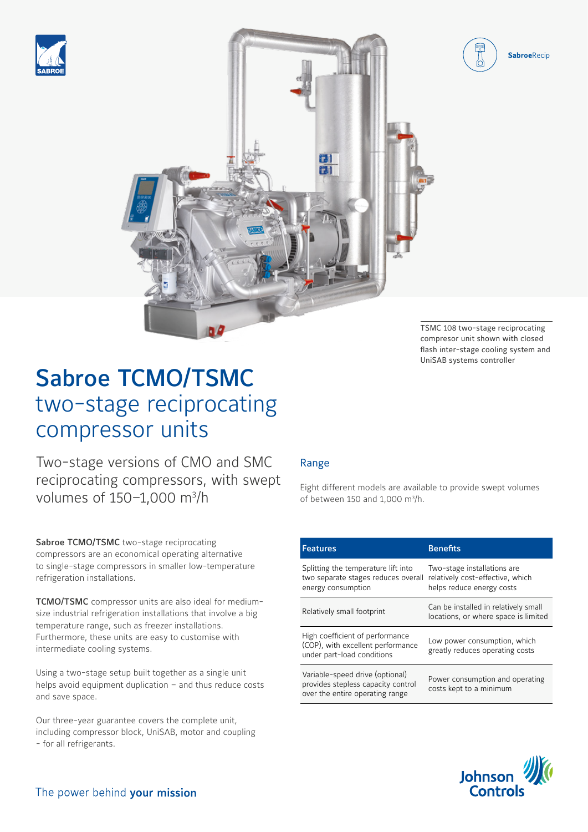





TSMC 108 two-stage reciprocating compresor unit shown with closed flash inter-stage cooling system and UniSAB systems controller

# Sabroe TCMO/TSMC two-stage reciprocating compressor units

Two-stage versions of CMO and SMC reciprocating compressors, with swept volumes of 150-1,000 m<sup>3</sup>/h

Sabroe TCMO/TSMC two-stage reciprocating compressors are an economical operating alternative to single-stage compressors in smaller low-temperature refrigeration installations.

TCMO/TSMC compressor units are also ideal for mediumsize industrial refrigeration installations that involve a big temperature range, such as freezer installations. Furthermore, these units are easy to customise with intermediate cooling systems.

Using a two-stage setup built together as a single unit helps avoid equipment duplication – and thus reduce costs and save space.

Our three-year guarantee covers the complete unit, including compressor block, UniSAB, motor and coupling - for all refrigerants.

## Range

Eight different models are available to provide swept volumes of between 150 and 1,000 m<sup>3</sup>/h.

| Features                                                                                                 | <b>Benefits</b>                                                                              |
|----------------------------------------------------------------------------------------------------------|----------------------------------------------------------------------------------------------|
| Splitting the temperature lift into<br>two separate stages reduces overall<br>energy consumption         | Two-stage installations are<br>relatively cost-effective, which<br>helps reduce energy costs |
| Relatively small footprint                                                                               | Can be installed in relatively small<br>locations, or where space is limited                 |
| High coefficient of performance<br>(COP), with excellent performance<br>under part-load conditions       | Low power consumption, which<br>greatly reduces operating costs                              |
| Variable-speed drive (optional)<br>provides stepless capacity control<br>over the entire operating range | Power consumption and operating<br>costs kept to a minimum                                   |